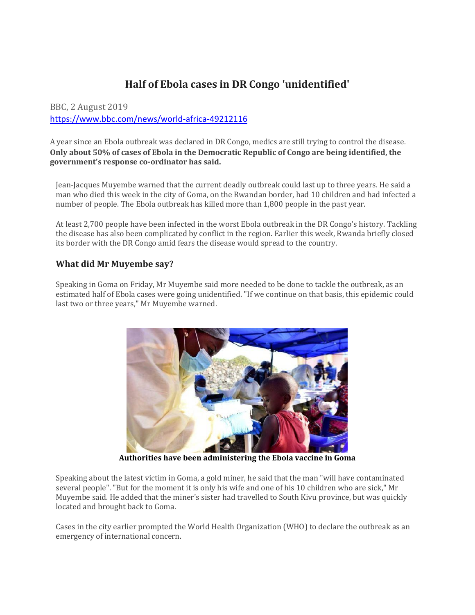# **Half of Ebola cases in DR Congo 'unidentified'**

BBC, 2 August 2019 <https://www.bbc.com/news/world-africa-49212116>

A year since an Ebola outbreak was declared in DR Congo, medics are still trying to control the disease. **Only about 50% of cases of Ebola in the Democratic Republic of Congo are being identified, the government's response co-ordinator has said.**

Jean-Jacques Muyembe warned that the current deadly outbreak could last up to three years. He said a man who died this week in the city of Goma, on the Rwandan border, had 10 children and had infected a number of people. The Ebola outbreak has killed more than 1,800 people in the past year.

At least 2,700 people have been infected in the worst Ebola outbreak in the DR Congo's history. Tackling the disease has also been complicated by conflict in the region. Earlier this week, Rwanda briefly closed its border with the DR Congo amid fears the disease would spread to the country.

#### **What did Mr Muyembe say?**

Speaking in Goma on Friday, Mr Muyembe said more needed to be done to tackle the outbreak, as an estimated half of Ebola cases were going unidentified. "If we continue on that basis, this epidemic could last two or three years," Mr Muyembe warned.



**Authorities have been administering the Ebola vaccine in Goma**

Speaking about the latest victim in Goma, a gold miner, he said that the man "will have contaminated several people". "But for the moment it is only his wife and one of his 10 children who are sick," Mr Muyembe said. He added that the miner's sister had travelled to South Kivu province, but was quickly located and brought back to Goma.

Cases in the city earlier prompted the World Health Organization (WHO) to declare the outbreak as an emergency of international concern.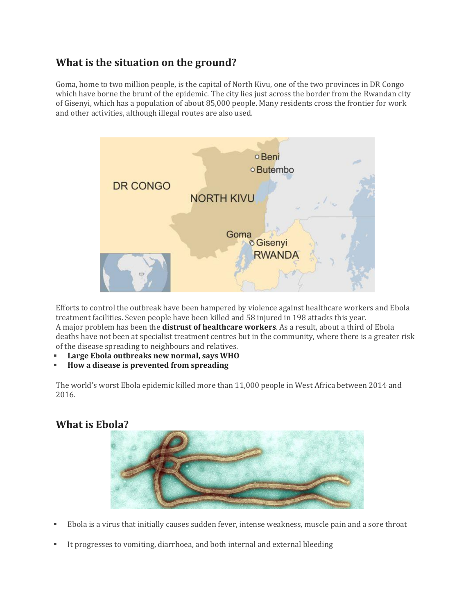# **What is the situation on the ground?**

Goma, home to two million people, is the capital of North Kivu, one of the two provinces in DR Congo which have borne the brunt of the epidemic. The city lies just across the border from the Rwandan city of Gisenyi, which has a population of about 85,000 people. Many residents cross the frontier for work and other activities, although illegal routes are also used.



Efforts to control the outbreak have been hampered by violence against healthcare workers and Ebola treatment facilities. Seven people have been killed and 58 injured in 198 attacks this year. A major problem has been the **distrust of [healthcare](https://www.bbc.co.uk/news/world-africa-48522299) workers**. As a result, about a third of Ebola deaths have not been at specialist treatment centres but in the community, where there is a greater risk of the disease spreading to neighbours and relatives.

- **Large Ebola [outbreaks](https://www.bbc.co.uk/news/health-48547983) new normal, says WHO**
- **How a disease is [prevented](https://www.bbc.co.uk/news/world-africa-49109478) from spreading**

The world's worst Ebola epidemic killed more than 11,000 people in West Africa between 2014 and 2016.

## **What is Ebola?**



- **•** Ebola is a virus that initially causes sudden fever, intense weakness, muscle pain and a sore throat
- It progresses to vomiting, diarrhoea, and both internal and external bleeding